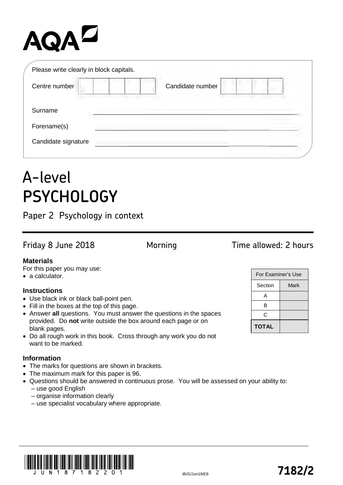# AQAZ

| Please write clearly in block capitals. |                  |
|-----------------------------------------|------------------|
| Centre number                           | Candidate number |
| Surname                                 |                  |
| Forename(s)                             |                  |
| Candidate signature                     |                  |

## A-level **PSYCHOLOGY**

Paper 2 Psychology in context

### Friday 8 June 2018 **Morning Time allowed: 2 hours**

#### **Materials**

For this paper you may use:

• a calculator.

#### **Instructions**

- Use black ink or black ball-point pen.
- Fill in the boxes at the top of this page.
- Answer **all** questions. You must answer the questions in the spaces provided. Do **not** write outside the box around each page or on blank pages.
- Do all rough work in this book. Cross through any work you do not want to be marked.

#### **Information**

- The marks for questions are shown in brackets.
- The maximum mark for this paper is 96.
- Questions should be answered in continuous prose. You will be assessed on your ability to: – use good English
	- organise information clearly
	- use specialist vocabulary where appropriate.





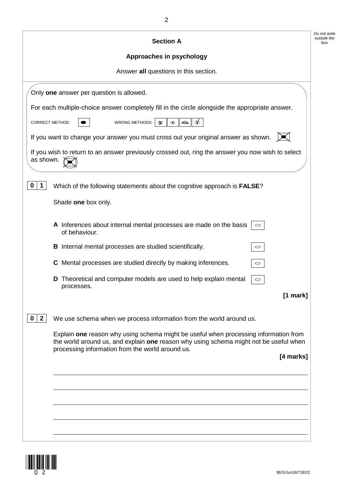|                       | <b>Section A</b>                                                                                                                                                                                                                  |
|-----------------------|-----------------------------------------------------------------------------------------------------------------------------------------------------------------------------------------------------------------------------------|
|                       | Approaches in psychology                                                                                                                                                                                                          |
|                       | Answer all questions in this section.                                                                                                                                                                                             |
|                       | Only one answer per question is allowed.                                                                                                                                                                                          |
|                       | For each multiple-choice answer completely fill in the circle alongside the appropriate answer.                                                                                                                                   |
| <b>CORRECT METHOD</b> | চ<br>WRONG METHODS<br>$\quad \  \  \, \Leftrightarrow$<br>$\circledcirc$<br>∞                                                                                                                                                     |
|                       | If you want to change your answer you must cross out your original answer as shown.                                                                                                                                               |
| as shown.             | If you wish to return to an answer previously crossed out, ring the answer you now wish to select                                                                                                                                 |
| $\mathbf 0$<br>1      | Which of the following statements about the cognitive approach is FALSE?                                                                                                                                                          |
|                       | Shade one box only.                                                                                                                                                                                                               |
|                       | A Inferences about internal mental processes are made on the basis<br>$\circ$<br>of behaviour.                                                                                                                                    |
|                       | <b>B</b> Internal mental processes are studied scientifically.<br>$\circ$                                                                                                                                                         |
|                       | C Mental processes are studied directly by making inferences.<br>$\circlearrowright$                                                                                                                                              |
|                       | Theoretical and computer models are used to help explain mental<br>D<br>$\circlearrowright$<br>processes.                                                                                                                         |
|                       | $[1$ mark]                                                                                                                                                                                                                        |
| $\mathbf{2}$<br>0     | We use schema when we process information from the world around us.                                                                                                                                                               |
|                       | Explain one reason why using schema might be useful when processing information from<br>the world around us, and explain one reason why using schema might not be useful when<br>processing information from the world around us. |
|                       | [4 marks]                                                                                                                                                                                                                         |
|                       |                                                                                                                                                                                                                                   |
|                       |                                                                                                                                                                                                                                   |
|                       |                                                                                                                                                                                                                                   |
|                       |                                                                                                                                                                                                                                   |
|                       |                                                                                                                                                                                                                                   |

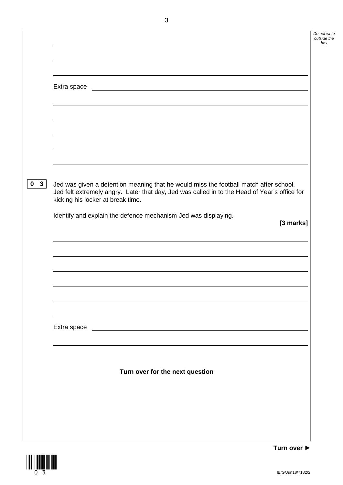|                   | Extra space<br><u> 1980 - Johann Stoff, deutscher Stoffen und der Stoffen und der Stoffen und der Stoffen und der Stoffen und der</u>                                                                                               |
|-------------------|-------------------------------------------------------------------------------------------------------------------------------------------------------------------------------------------------------------------------------------|
|                   |                                                                                                                                                                                                                                     |
|                   |                                                                                                                                                                                                                                     |
|                   |                                                                                                                                                                                                                                     |
|                   |                                                                                                                                                                                                                                     |
| 3<br>$\mathbf{0}$ | Jed was given a detention meaning that he would miss the football match after school.<br>Jed felt extremely angry. Later that day, Jed was called in to the Head of Year's office for<br>kicking his locker at break time.          |
|                   | Identify and explain the defence mechanism Jed was displaying.                                                                                                                                                                      |
|                   | [3 marks]                                                                                                                                                                                                                           |
|                   |                                                                                                                                                                                                                                     |
|                   |                                                                                                                                                                                                                                     |
|                   |                                                                                                                                                                                                                                     |
|                   |                                                                                                                                                                                                                                     |
|                   |                                                                                                                                                                                                                                     |
|                   | Extra space <u>extra space</u> and the set of the set of the set of the set of the set of the set of the set of the set of the set of the set of the set of the set of the set of the set of the set of the set of the set of the s |
|                   |                                                                                                                                                                                                                                     |
|                   | Turn over for the next question                                                                                                                                                                                                     |
|                   |                                                                                                                                                                                                                                     |
|                   |                                                                                                                                                                                                                                     |
|                   |                                                                                                                                                                                                                                     |



*Do not write outside the box*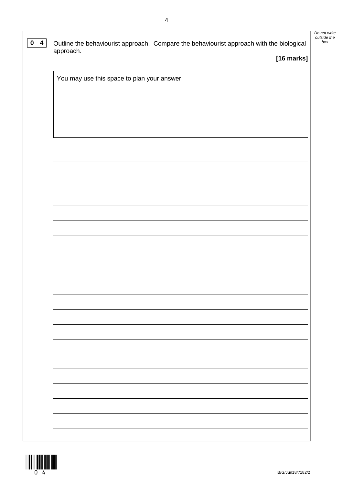| $\overline{\mathbf{4}}$<br>$\mathbf 0$ | Outline the behaviourist approach. Compare the behaviourist approach with the biological<br>approach. | Do not write<br>outside the<br>box |
|----------------------------------------|-------------------------------------------------------------------------------------------------------|------------------------------------|
|                                        | [16 marks]                                                                                            |                                    |
|                                        | You may use this space to plan your answer.                                                           |                                    |
|                                        |                                                                                                       |                                    |
|                                        |                                                                                                       |                                    |
|                                        |                                                                                                       |                                    |
|                                        |                                                                                                       |                                    |
|                                        |                                                                                                       |                                    |
|                                        |                                                                                                       |                                    |
|                                        |                                                                                                       |                                    |
|                                        |                                                                                                       |                                    |
|                                        |                                                                                                       |                                    |
|                                        |                                                                                                       |                                    |
|                                        |                                                                                                       |                                    |

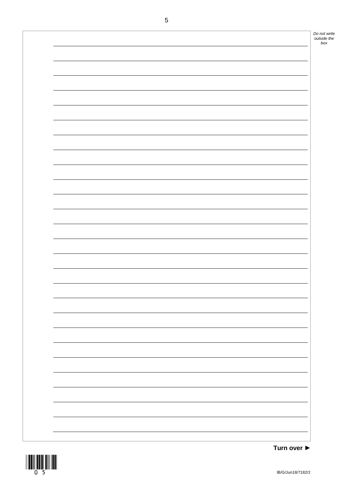|  | Do not write<br>outside the |
|--|-----------------------------|
|  | box                         |
|  |                             |
|  |                             |
|  |                             |
|  |                             |
|  |                             |
|  |                             |
|  |                             |
|  |                             |
|  |                             |
|  |                             |
|  |                             |
|  |                             |
|  |                             |
|  |                             |
|  |                             |
|  |                             |
|  |                             |
|  |                             |
|  |                             |
|  |                             |
|  |                             |
|  |                             |
|  |                             |
|  |                             |
|  |                             |
|  |                             |
|  |                             |
|  |                             |
|  |                             |
|  |                             |
|  |                             |
|  |                             |
|  |                             |
|  |                             |
|  |                             |
|  |                             |
|  |                             |
|  |                             |
|  |                             |
|  |                             |
|  |                             |
|  |                             |
|  |                             |
|  |                             |
|  |                             |
|  |                             |
|  |                             |
|  |                             |
|  |                             |
|  |                             |
|  |                             |
|  |                             |



**Turn over ►**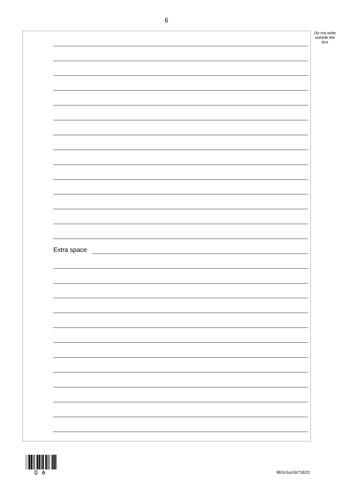| Extra space |  |  |  |
|-------------|--|--|--|

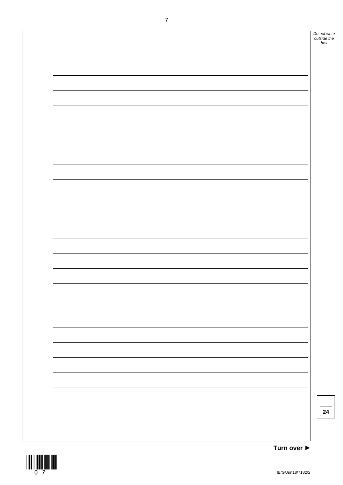|  | Do not write       |
|--|--------------------|
|  | outside the<br>box |
|  |                    |
|  |                    |
|  |                    |
|  |                    |
|  |                    |
|  |                    |
|  |                    |
|  |                    |
|  |                    |
|  |                    |
|  |                    |
|  |                    |
|  |                    |
|  |                    |
|  |                    |
|  |                    |
|  |                    |
|  |                    |
|  |                    |
|  |                    |
|  |                    |
|  |                    |
|  |                    |
|  |                    |
|  |                    |
|  |                    |
|  |                    |
|  |                    |
|  |                    |
|  |                    |
|  |                    |
|  |                    |
|  |                    |
|  |                    |
|  |                    |
|  | 24                 |
|  |                    |
|  |                    |
|  |                    |

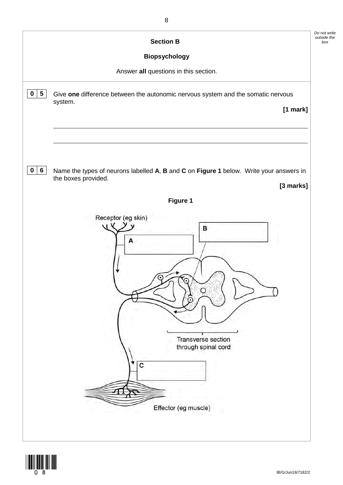

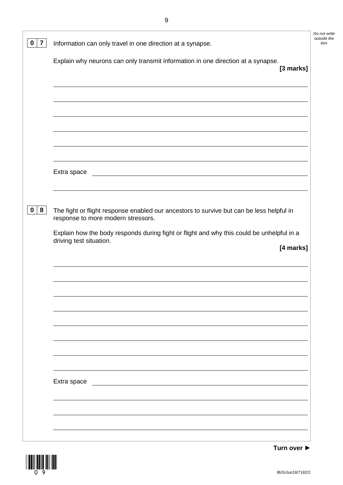| $\overline{\mathbf{7}}$<br>0 | Information can only travel in one direction at a synapse.                                                                        | Do not write<br>outside the<br>box |
|------------------------------|-----------------------------------------------------------------------------------------------------------------------------------|------------------------------------|
|                              | Explain why neurons can only transmit information in one direction at a synapse.<br>[3 marks]                                     |                                    |
|                              |                                                                                                                                   |                                    |
|                              |                                                                                                                                   |                                    |
|                              |                                                                                                                                   |                                    |
|                              | Extra space                                                                                                                       |                                    |
| 8<br>$\mathbf{0}$            | The fight or flight response enabled our ancestors to survive but can be less helpful in<br>response to more modern stressors.    |                                    |
|                              | Explain how the body responds during fight or flight and why this could be unhelpful in a<br>driving test situation.<br>[4 marks] |                                    |
|                              |                                                                                                                                   |                                    |
|                              |                                                                                                                                   |                                    |
|                              |                                                                                                                                   |                                    |
|                              |                                                                                                                                   |                                    |
|                              |                                                                                                                                   |                                    |
|                              | Extra space                                                                                                                       |                                    |
|                              |                                                                                                                                   |                                    |



**Turn over ►**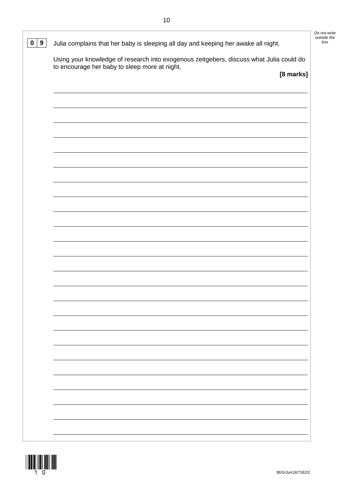*Do not write outside the* 

| $\mathbf 0$<br>9 | Julia complains that her baby is sleeping all day and keeping her awake all night.                                                                    | bo) |
|------------------|-------------------------------------------------------------------------------------------------------------------------------------------------------|-----|
|                  | Using your knowledge of research into exogenous zeitgebers, discuss what Julia could do<br>to encourage her baby to sleep more at night.<br>[8 marks] |     |
|                  |                                                                                                                                                       |     |
|                  |                                                                                                                                                       |     |
|                  |                                                                                                                                                       |     |
|                  |                                                                                                                                                       |     |
|                  |                                                                                                                                                       |     |
|                  |                                                                                                                                                       |     |
|                  |                                                                                                                                                       |     |
|                  |                                                                                                                                                       |     |
|                  |                                                                                                                                                       |     |

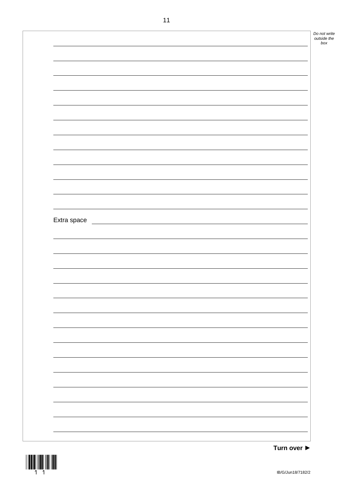*Do not write outside the box* Extra space

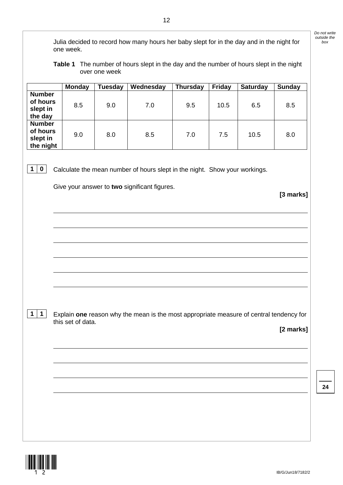Julia decided to record how many hours her baby slept for in the day and in the night for *box* one week.

**Table 1** The number of hours slept in the day and the number of hours slept in the night over one week

|                                                    | <b>Monday</b> | <b>Tuesday</b> | Wednesday | <b>Thursday</b> | <b>Friday</b> | <b>Saturday</b> | <b>Sunday</b> |
|----------------------------------------------------|---------------|----------------|-----------|-----------------|---------------|-----------------|---------------|
| <b>Number</b><br>of hours<br>slept in<br>the day   | 8.5           | 9.0            | 7.0       | 9.5             | 10.5          | 6.5             | 8.5           |
| <b>Number</b><br>of hours<br>slept in<br>the night | 9.0           | 8.0            | 8.5       | 7.0             | 7.5           | 10.5            | 8.0           |

**1 0** Calculate the mean number of hours slept in the night. Show your workings.

Give your answer to **two** significant figures.

**[3 marks]**

*Do not write outside the* 

**1 1** Explain **one** reason why the mean is the most appropriate measure of central tendency for this set of data.

**[2 marks]**

**24**

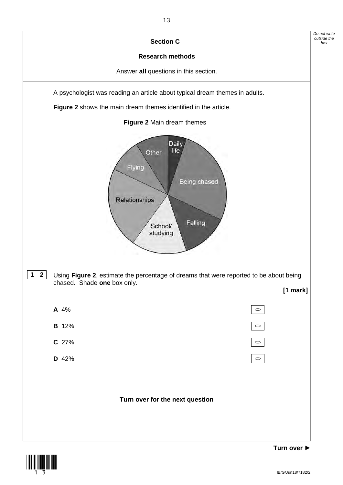

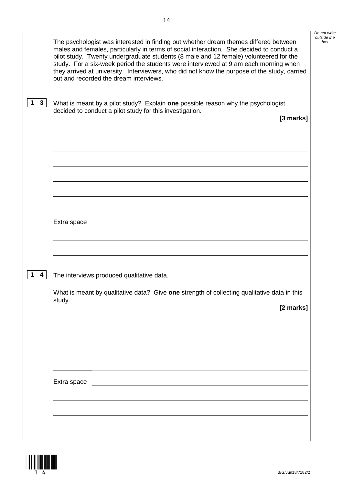|              | The psychologist was interested in finding out whether dream themes differed between<br>males and females, particularly in terms of social interaction. She decided to conduct a<br>pilot study. Twenty undergraduate students (8 male and 12 female) volunteered for the<br>study. For a six-week period the students were interviewed at 9 am each morning when<br>they arrived at university. Interviewers, who did not know the purpose of the study, carried<br>out and recorded the dream interviews. | Do not write<br>outside the<br>box |
|--------------|-------------------------------------------------------------------------------------------------------------------------------------------------------------------------------------------------------------------------------------------------------------------------------------------------------------------------------------------------------------------------------------------------------------------------------------------------------------------------------------------------------------|------------------------------------|
| $\mathbf{3}$ | What is meant by a pilot study? Explain one possible reason why the psychologist<br>decided to conduct a pilot study for this investigation.<br>[3 marks]                                                                                                                                                                                                                                                                                                                                                   |                                    |
|              |                                                                                                                                                                                                                                                                                                                                                                                                                                                                                                             |                                    |
|              | Extra space                                                                                                                                                                                                                                                                                                                                                                                                                                                                                                 |                                    |
| 4            | The interviews produced qualitative data.                                                                                                                                                                                                                                                                                                                                                                                                                                                                   |                                    |
|              | What is meant by qualitative data? Give one strength of collecting qualitative data in this<br>study.<br>[2 marks]                                                                                                                                                                                                                                                                                                                                                                                          |                                    |
|              |                                                                                                                                                                                                                                                                                                                                                                                                                                                                                                             |                                    |
|              | Extra space<br><u>and the control of the control of the control of the control of the control of the control of the control of</u>                                                                                                                                                                                                                                                                                                                                                                          |                                    |
|              |                                                                                                                                                                                                                                                                                                                                                                                                                                                                                                             |                                    |

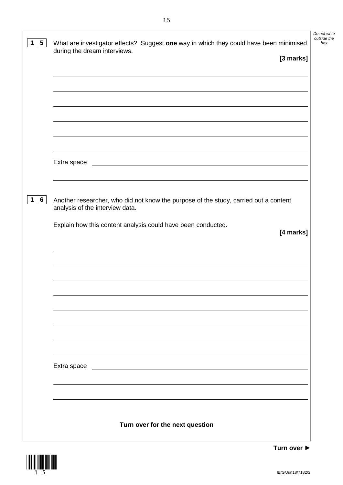| during the dream interviews.<br>[3 marks]                                                                               |
|-------------------------------------------------------------------------------------------------------------------------|
|                                                                                                                         |
|                                                                                                                         |
|                                                                                                                         |
|                                                                                                                         |
|                                                                                                                         |
|                                                                                                                         |
|                                                                                                                         |
|                                                                                                                         |
| Extra space<br><u> 1980 - Johann Barbara, martxa alemaniar amerikan a</u>                                               |
|                                                                                                                         |
|                                                                                                                         |
| Another researcher, who did not know the purpose of the study, carried out a content<br>analysis of the interview data. |
|                                                                                                                         |
| Explain how this content analysis could have been conducted.<br>[4 marks]                                               |
|                                                                                                                         |
|                                                                                                                         |
|                                                                                                                         |
|                                                                                                                         |
|                                                                                                                         |
|                                                                                                                         |
|                                                                                                                         |
|                                                                                                                         |
|                                                                                                                         |
|                                                                                                                         |
| Extra space                                                                                                             |
|                                                                                                                         |
|                                                                                                                         |
|                                                                                                                         |
|                                                                                                                         |
|                                                                                                                         |



*Do not write outside the*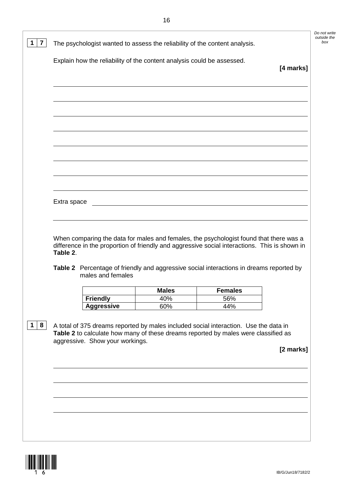|             |                   |                     |                                                                                                                                                                                         | [4 marks] |
|-------------|-------------------|---------------------|-----------------------------------------------------------------------------------------------------------------------------------------------------------------------------------------|-----------|
|             |                   |                     |                                                                                                                                                                                         |           |
|             |                   |                     |                                                                                                                                                                                         |           |
|             |                   |                     |                                                                                                                                                                                         |           |
|             |                   |                     |                                                                                                                                                                                         |           |
|             |                   |                     |                                                                                                                                                                                         |           |
|             |                   |                     |                                                                                                                                                                                         |           |
|             |                   |                     |                                                                                                                                                                                         |           |
|             |                   |                     |                                                                                                                                                                                         |           |
| Extra space |                   |                     |                                                                                                                                                                                         |           |
|             |                   |                     | <u> 1980 - John Stein, Amerikaansk politiker (</u>                                                                                                                                      |           |
| Table 2.    |                   |                     | When comparing the data for males and females, the psychologist found that there was a<br>difference in the proportion of friendly and aggressive social interactions. This is shown in |           |
|             | males and females |                     | Table 2 Percentage of friendly and aggressive social interactions in dreams reported by                                                                                                 |           |
|             | <b>Friendly</b>   | <b>Males</b><br>40% | <b>Females</b><br>56%                                                                                                                                                                   |           |



*Do not write outside the*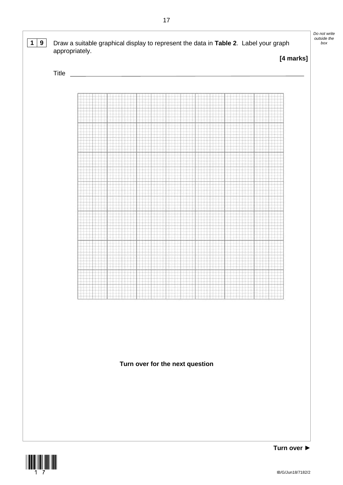

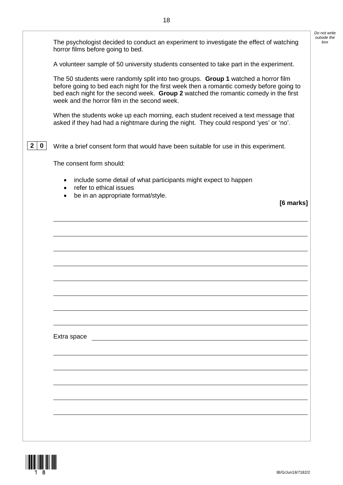|                             | The psychologist decided to conduct an experiment to investigate the effect of watching<br>horror films before going to bed.                                                                                                                                                                                           | Do not write<br>outside the<br>box |
|-----------------------------|------------------------------------------------------------------------------------------------------------------------------------------------------------------------------------------------------------------------------------------------------------------------------------------------------------------------|------------------------------------|
|                             | A volunteer sample of 50 university students consented to take part in the experiment.                                                                                                                                                                                                                                 |                                    |
|                             | The 50 students were randomly split into two groups. Group 1 watched a horror film<br>before going to bed each night for the first week then a romantic comedy before going to<br>bed each night for the second week. Group 2 watched the romantic comedy in the first<br>week and the horror film in the second week. |                                    |
|                             | When the students woke up each morning, each student received a text message that<br>asked if they had had a nightmare during the night. They could respond 'yes' or 'no'.                                                                                                                                             |                                    |
| $\mathbf{2}$<br>$\mathbf 0$ | Write a brief consent form that would have been suitable for use in this experiment.                                                                                                                                                                                                                                   |                                    |
|                             | The consent form should:                                                                                                                                                                                                                                                                                               |                                    |
|                             | include some detail of what participants might expect to happen<br>٠<br>refer to ethical issues<br>$\bullet$                                                                                                                                                                                                           |                                    |
|                             | be in an appropriate format/style.<br>$\bullet$<br>[6 marks]                                                                                                                                                                                                                                                           |                                    |
|                             |                                                                                                                                                                                                                                                                                                                        |                                    |
|                             |                                                                                                                                                                                                                                                                                                                        |                                    |
|                             |                                                                                                                                                                                                                                                                                                                        |                                    |
|                             |                                                                                                                                                                                                                                                                                                                        |                                    |
|                             |                                                                                                                                                                                                                                                                                                                        |                                    |
|                             |                                                                                                                                                                                                                                                                                                                        |                                    |
|                             |                                                                                                                                                                                                                                                                                                                        |                                    |
|                             |                                                                                                                                                                                                                                                                                                                        |                                    |
|                             |                                                                                                                                                                                                                                                                                                                        |                                    |
|                             |                                                                                                                                                                                                                                                                                                                        |                                    |
|                             |                                                                                                                                                                                                                                                                                                                        |                                    |
|                             | Extra space                                                                                                                                                                                                                                                                                                            |                                    |
|                             |                                                                                                                                                                                                                                                                                                                        |                                    |
|                             |                                                                                                                                                                                                                                                                                                                        |                                    |
|                             |                                                                                                                                                                                                                                                                                                                        |                                    |
|                             |                                                                                                                                                                                                                                                                                                                        |                                    |
|                             |                                                                                                                                                                                                                                                                                                                        |                                    |
|                             |                                                                                                                                                                                                                                                                                                                        |                                    |
|                             |                                                                                                                                                                                                                                                                                                                        |                                    |
|                             |                                                                                                                                                                                                                                                                                                                        |                                    |

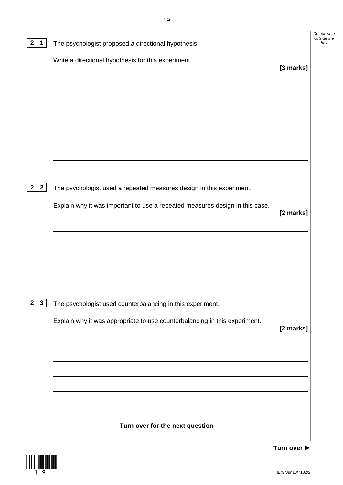| $\mathbf{2}$<br>$\mathbf 1$    | The psychologist proposed a directional hypothesis.                          |           | Do not write<br>outside the<br>box |
|--------------------------------|------------------------------------------------------------------------------|-----------|------------------------------------|
|                                | Write a directional hypothesis for this experiment.                          |           |                                    |
|                                |                                                                              | [3 marks] |                                    |
|                                |                                                                              |           |                                    |
|                                |                                                                              |           |                                    |
|                                |                                                                              |           |                                    |
|                                |                                                                              |           |                                    |
|                                |                                                                              |           |                                    |
|                                |                                                                              |           |                                    |
| $\mathbf{2}$<br>$\overline{2}$ | The psychologist used a repeated measures design in this experiment.         |           |                                    |
|                                | Explain why it was important to use a repeated measures design in this case. | [2 marks] |                                    |
|                                |                                                                              |           |                                    |
|                                |                                                                              |           |                                    |
|                                |                                                                              |           |                                    |
|                                |                                                                              |           |                                    |
|                                |                                                                              |           |                                    |
| $\mathbf{2}$<br>$\mathbf{3}$   | The psychologist used counterbalancing in this experiment.                   |           |                                    |
|                                | Explain why it was appropriate to use counterbalancing in this experiment.   | [2 marks] |                                    |
|                                |                                                                              |           |                                    |
|                                |                                                                              |           |                                    |
|                                |                                                                              |           |                                    |
|                                |                                                                              |           |                                    |
|                                |                                                                              |           |                                    |
|                                | Turn over for the next question                                              |           |                                    |
|                                |                                                                              |           |                                    |



IB/G/Jun18/7182/2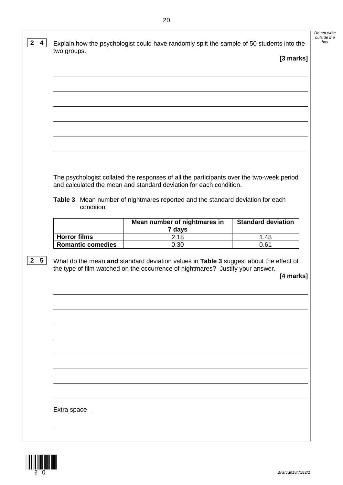*Do not write outside the*  **2 4** Explain how the psychologist could have randomly split the sample of 50 students into the two groups. **[3 marks]** The psychologist collated the responses of all the participants over the two-week period and calculated the mean and standard deviation for each condition. **Table 3** Mean number of nightmares reported and the standard deviation for each condition **Mean number of nightmares in 7 days Standard deviation Horror films** 2.18 2.18 1.48<br> **Romantic comedies** 0.30 0.61 **Romantic comedies 2 5** What do the mean **and** standard deviation values in **Table 3** suggest about the effect of the type of film watched on the occurrence of nightmares? Justify your answer. **[4 marks]**

Extra space

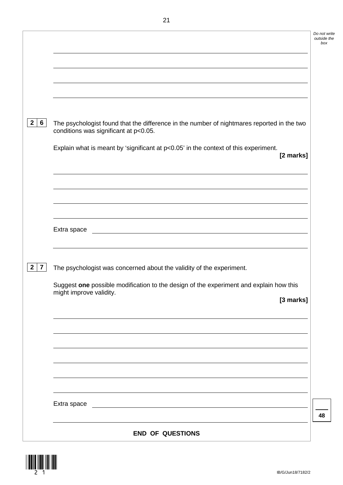| 2 <sup>1</sup><br>$6\phantom{1}$ | The psychologist found that the difference in the number of nightmares reported in the two<br>conditions was significant at p<0.05. |
|----------------------------------|-------------------------------------------------------------------------------------------------------------------------------------|
|                                  | Explain what is meant by 'significant at $p<0.05$ ' in the context of this experiment.<br>[2 marks]                                 |
|                                  |                                                                                                                                     |
|                                  |                                                                                                                                     |
|                                  |                                                                                                                                     |
|                                  | Extra space<br><u> 1989 - Johann Barn, mars eta bainar eta baina eta baina eta baina eta baina eta baina eta baina eta baina e</u>  |
|                                  |                                                                                                                                     |
| $\overline{7}$<br>$\mathbf{2}$   | The psychologist was concerned about the validity of the experiment.                                                                |
|                                  | Suggest one possible modification to the design of the experiment and explain how this<br>might improve validity.                   |
|                                  | [3 marks]                                                                                                                           |
|                                  |                                                                                                                                     |
|                                  |                                                                                                                                     |
|                                  |                                                                                                                                     |
|                                  |                                                                                                                                     |
|                                  |                                                                                                                                     |
|                                  |                                                                                                                                     |
|                                  |                                                                                                                                     |
|                                  | <b>END OF QUESTIONS</b>                                                                                                             |

 $\begin{CD} \mathop{\rm Im}\nolimits_{2} \mathop{\rm Im}\nolimits_{1} \end{CD}$ 

**48**

*Do not write outside the box*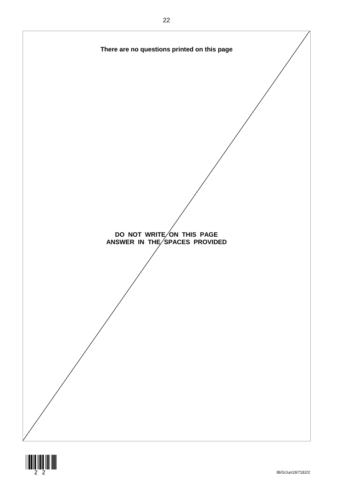

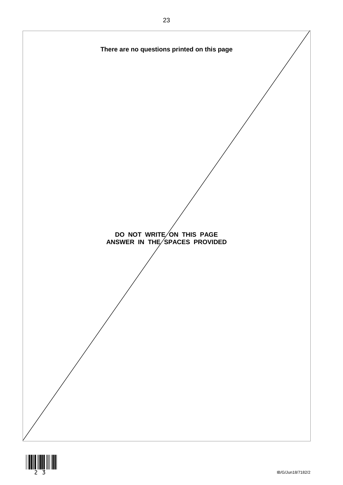